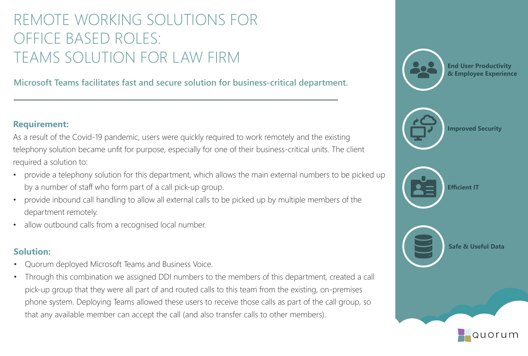# REMOTE WORKING SOLUTIONS FOR OFFICE BASED ROLES: TEAMS SOLUTION FOR LAW FIRM

**Microsoft Teams facilitates fast and secure solution for business-critical department.** 

#### **Requirement:**

As a result of the Covid-19 pandemic, users were quickly required to work remotely and the existing telephony solution became unfit for purpose, especially for one of their business-critical units. The client required a solution to:

- provide a telephony solution for this department, which allows the main external numbers to be picked up by a number of staff who form part of a call pick-up group.
- provide inbound call handling to allow all external calls to be picked up by multiple members of the department remotely.
- allow outbound calls from a recognised local number.

- Quorum deployed Microsoft Teams and Business Voice.
- Through this combination we assigned DDI numbers to the members of this department, created a call pick-up group that they were all part of and routed calls to this team from the existing, on-premises phone system. Deploying Teams allowed these users to receive those calls as part of the call group, so that any available member can accept the call (and also transfer calls to other members).